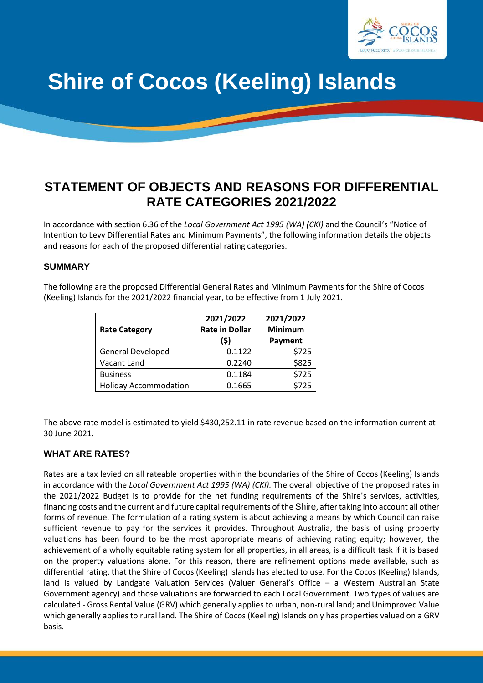

# **Shire of Cocos (Keeling) Islands**

# **STATEMENT OF OBJECTS AND REASONS FOR DIFFERENTIAL RATE CATEGORIES 2021/2022**

In accordance with section 6.36 of the *Local Government Act 1995 (WA) (CKI)* and the Council's "Notice of Intention to Levy Differential Rates and Minimum Payments", the following information details the objects and reasons for each of the proposed differential rating categories.

#### **SUMMARY**

The following are the proposed Differential General Rates and Minimum Payments for the Shire of Cocos (Keeling) Islands for the 2021/2022 financial year, to be effective from 1 July 2021.

| <b>Rate Category</b>         | 2021/2022<br><b>Rate in Dollar</b><br>(\$) | 2021/2022<br><b>Minimum</b><br>Payment |
|------------------------------|--------------------------------------------|----------------------------------------|
| <b>General Developed</b>     | 0.1122                                     | \$725                                  |
| Vacant Land                  | 0.2240                                     | \$825                                  |
| <b>Business</b>              | 0.1184                                     | \$725                                  |
| <b>Holiday Accommodation</b> | 0.1665                                     | \$725                                  |

The above rate model is estimated to yield \$430,252.11 in rate revenue based on the information current at 30 June 2021.

#### **WHAT ARE RATES?**

Rates are a tax levied on all rateable properties within the boundaries of the Shire of Cocos (Keeling) Islands in accordance with the *Local Government Act 1995 (WA) (CKI).* The overall objective of the proposed rates in the 2021/2022 Budget is to provide for the net funding requirements of the Shire's services, activities, financing costs and the current and future capital requirements of the Shire, after taking into account all other forms of revenue. The formulation of a rating system is about achieving a means by which Council can raise sufficient revenue to pay for the services it provides. Throughout Australia, the basis of using property valuations has been found to be the most appropriate means of achieving rating equity; however, the achievement of a wholly equitable rating system for all properties, in all areas, is a difficult task if it is based on the property valuations alone. For this reason, there are refinement options made available, such as differential rating, that the Shire of Cocos (Keeling) Islands has elected to use. For the Cocos (Keeling) Islands, land is valued by Landgate Valuation Services (Valuer General's Office – a Western Australian State Government agency) and those valuations are forwarded to each Local Government. Two types of values are calculated - Gross Rental Value (GRV) which generally applies to urban, non-rural land; and Unimproved Value which generally applies to rural land. The Shire of Cocos (Keeling) Islands only has properties valued on a GRV basis.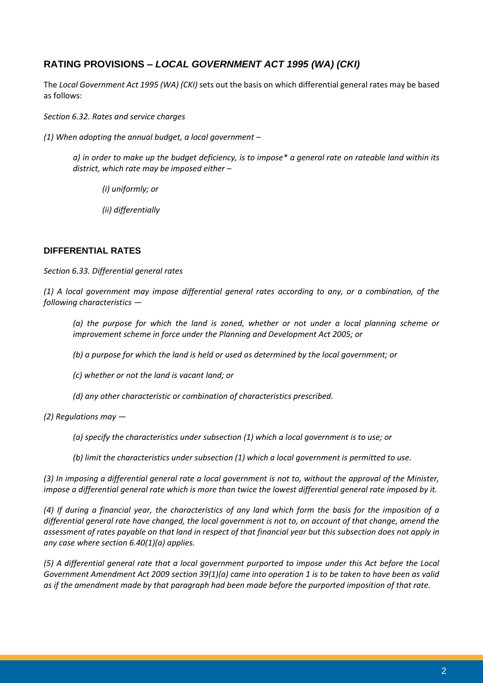# **RATING PROVISIONS –** *LOCAL GOVERNMENT ACT 1995 (WA) (CKI)*

The *Local Government Act 1995 (WA) (CKI)* sets out the basis on which differential general rates may be based as follows:

*Section 6.32. Rates and service charges*

*(1) When adopting the annual budget, a local government –*

*a) in order to make up the budget deficiency, is to impose\* a general rate on rateable land within its district, which rate may be imposed either –*

*(i) uniformly; or* 

*(ii) differentially*

#### **DIFFERENTIAL RATES**

*Section 6.33. Differential general rates*

*(1) A local government may impose differential general rates according to any, or a combination, of the following characteristics —*

*(a) the purpose for which the land is zoned, whether or not under a local planning scheme or improvement scheme in force under the Planning and Development Act 2005; or* 

*(b) a purpose for which the land is held or used as determined by the local government; or* 

*(c) whether or not the land is vacant land; or* 

*(d) any other characteristic or combination of characteristics prescribed.* 

*(2) Regulations may —*

*(a) specify the characteristics under subsection (1) which a local government is to use; or* 

*(b) limit the characteristics under subsection (1) which a local government is permitted to use.*

*(3) In imposing a differential general rate a local government is not to, without the approval of the Minister, impose a differential general rate which is more than twice the lowest differential general rate imposed by it.*

*(4) If during a financial year, the characteristics of any land which form the basis for the imposition of a differential general rate have changed, the local government is not to, on account of that change, amend the assessment of rates payable on that land in respect of that financial year but this subsection does not apply in any case where section 6.40(1)(a) applies.* 

*(5) A differential general rate that a local government purported to impose under this Act before the Local Government Amendment Act 2009 section 39(1)(a) came into operation 1 is to be taken to have been as valid as if the amendment made by that paragraph had been made before the purported imposition of that rate.*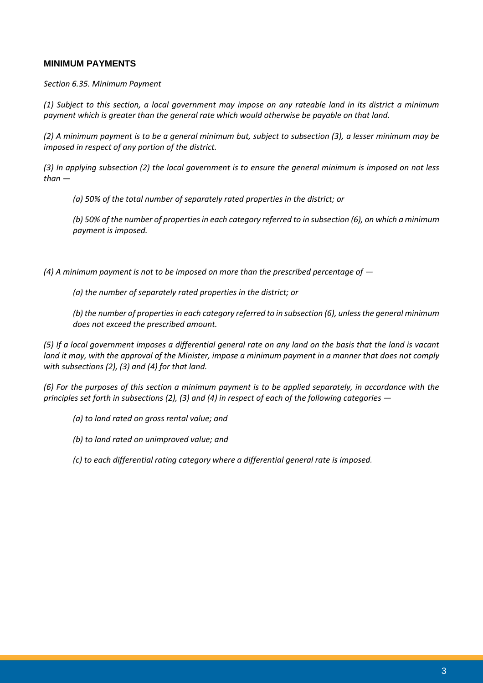#### **MINIMUM PAYMENTS**

*Section 6.35. Minimum Payment*

*(1) Subject to this section, a local government may impose on any rateable land in its district a minimum payment which is greater than the general rate which would otherwise be payable on that land.* 

*(2) A minimum payment is to be a general minimum but, subject to subsection (3), a lesser minimum may be imposed in respect of any portion of the district.* 

*(3) In applying subsection (2) the local government is to ensure the general minimum is imposed on not less than —*

*(a) 50% of the total number of separately rated properties in the district; or* 

*(b) 50% of the number of properties in each category referred to in subsection (6), on which a minimum payment is imposed.* 

*(4) A minimum payment is not to be imposed on more than the prescribed percentage of*  $-$ 

*(a) the number of separately rated properties in the district; or* 

*(b) the number of properties in each category referred to in subsection (6), unless the general minimum does not exceed the prescribed amount.*

*(5) If a local government imposes a differential general rate on any land on the basis that the land is vacant land it may, with the approval of the Minister, impose a minimum payment in a manner that does not comply with subsections (2), (3) and (4) for that land.* 

*(6) For the purposes of this section a minimum payment is to be applied separately, in accordance with the principles set forth in subsections (2), (3) and (4) in respect of each of the following categories —*

*(a) to land rated on gross rental value; and* 

*(b) to land rated on unimproved value; and* 

*(c) to each differential rating category where a differential general rate is imposed.*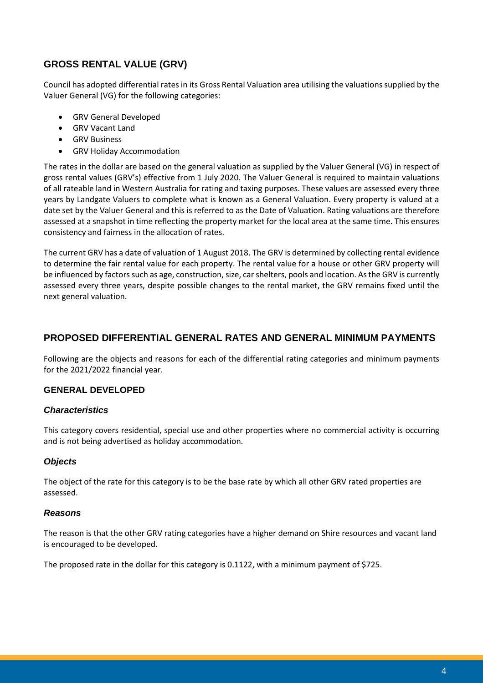# **GROSS RENTAL VALUE (GRV)**

Council has adopted differential rates in its Gross Rental Valuation area utilising the valuations supplied by the Valuer General (VG) for the following categories:

- GRV General Developed
- GRV Vacant Land
- GRV Business
- GRV Holiday Accommodation

The rates in the dollar are based on the general valuation as supplied by the Valuer General (VG) in respect of gross rental values (GRV's) effective from 1 July 2020. The Valuer General is required to maintain valuations of all rateable land in Western Australia for rating and taxing purposes. These values are assessed every three years by Landgate Valuers to complete what is known as a General Valuation. Every property is valued at a date set by the Valuer General and this is referred to as the Date of Valuation. Rating valuations are therefore assessed at a snapshot in time reflecting the property market for the local area at the same time. This ensures consistency and fairness in the allocation of rates.

The current GRV has a date of valuation of 1 August 2018. The GRV is determined by collecting rental evidence to determine the fair rental value for each property. The rental value for a house or other GRV property will be influenced by factors such as age, construction, size, car shelters, pools and location. As the GRV is currently assessed every three years, despite possible changes to the rental market, the GRV remains fixed until the next general valuation.

# **PROPOSED DIFFERENTIAL GENERAL RATES AND GENERAL MINIMUM PAYMENTS**

Following are the objects and reasons for each of the differential rating categories and minimum payments for the 2021/2022 financial year.

### **GENERAL DEVELOPED**

#### *Characteristics*

This category covers residential, special use and other properties where no commercial activity is occurring and is not being advertised as holiday accommodation.

#### *Objects*

The object of the rate for this category is to be the base rate by which all other GRV rated properties are assessed.

#### *Reasons*

The reason is that the other GRV rating categories have a higher demand on Shire resources and vacant land is encouraged to be developed.

The proposed rate in the dollar for this category is 0.1122, with a minimum payment of \$725.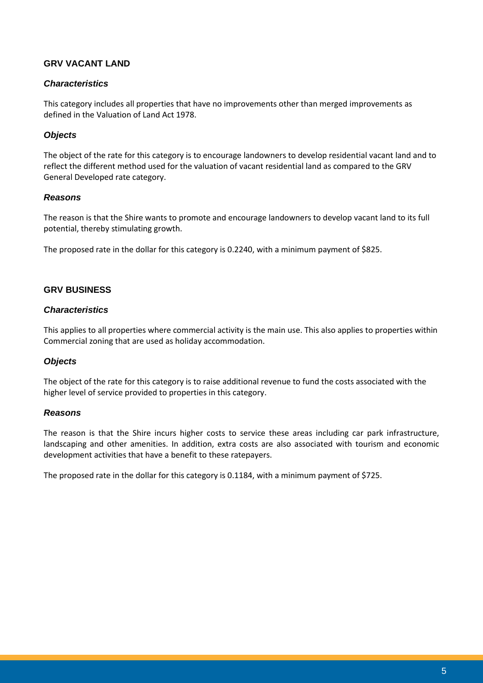#### **GRV VACANT LAND**

#### *Characteristics*

This category includes all properties that have no improvements other than merged improvements as defined in the Valuation of Land Act 1978.

#### *Objects*

The object of the rate for this category is to encourage landowners to develop residential vacant land and to reflect the different method used for the valuation of vacant residential land as compared to the GRV General Developed rate category.

#### *Reasons*

The reason is that the Shire wants to promote and encourage landowners to develop vacant land to its full potential, thereby stimulating growth.

The proposed rate in the dollar for this category is 0.2240, with a minimum payment of \$825.

#### **GRV BUSINESS**

#### *Characteristics*

This applies to all properties where commercial activity is the main use. This also applies to properties within Commercial zoning that are used as holiday accommodation.

#### *Objects*

The object of the rate for this category is to raise additional revenue to fund the costs associated with the higher level of service provided to properties in this category.

#### *Reasons*

The reason is that the Shire incurs higher costs to service these areas including car park infrastructure, landscaping and other amenities. In addition, extra costs are also associated with tourism and economic development activities that have a benefit to these ratepayers.

The proposed rate in the dollar for this category is 0.1184, with a minimum payment of \$725.